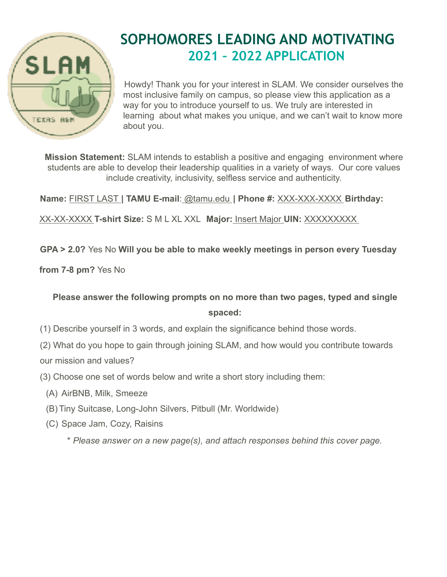

## **SOPHOMORES LEADING AND MOTIVATING 2021 – 2022 APPLICATION**

Howdy! Thank you for your interest in SLAM. We consider ourselves the most inclusive family on campus, so please view this application as a way for you to introduce yourself to us. We truly are interested in learning about what makes you unique, and we can't wait to know more about you.

**Mission Statement:** SLAM intends to establish a positive and engaging environment where students are able to develop their leadership qualities in a variety of ways. Our core values include creativity, inclusivity, selfless service and authenticity.

**Name:** FIRST LAST **| TAMU E-mail**: @tamu.edu .**| Phone #:** XXX-XXX-XXXX .**Birthday:**

XX-XX-XXXX **T-shirt Size:** S M L XL XXL **Major:** Insert Major **UIN:** XXXXXXXXX .

## **GPA > 2.0?** Yes No **Will you be able to make weekly meetings in person every Tuesday**

**from 7-8 pm?** Yes No

**Please answer the following prompts on no more than two pages, typed and single spaced:**

- (1) Describe yourself in 3 words, and explain the significance behind those words.
- (2) What do you hope to gain through joining SLAM, and how would you contribute towards our mission and values?
- (3) Choose one set of words below and write a short story including them:
	- (A) AirBNB, Milk, Smeeze
	- (B) Tiny Suitcase, Long-John Silvers, Pitbull (Mr. Worldwide)
	- (C) Space Jam, Cozy, Raisins
		- \* *Please answer on a new page(s), and attach responses behind this cover page.*